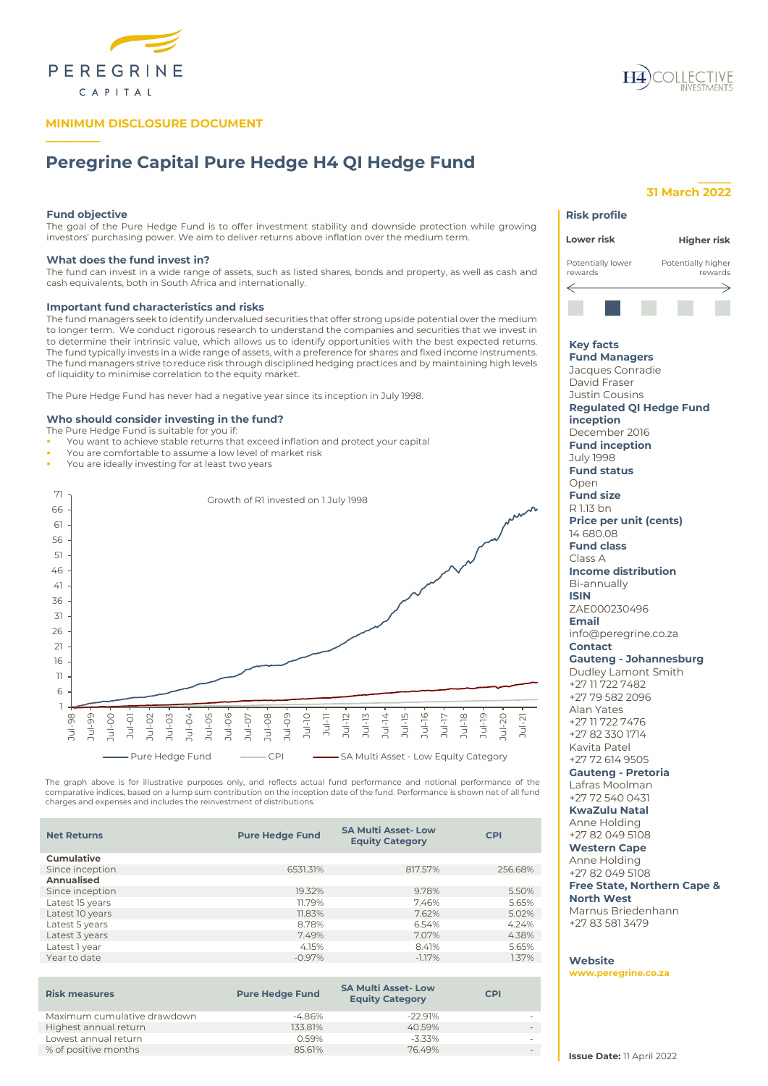

# **MINIMUM DISCLOSURE DOCUMENT**

# **Peregrine Capital Pure Hedge H4 QI Hedge Fund**

### **Fund objective**

**\_\_\_\_\_\_\_\_\_\_**

The goal of the Pure Hedge Fund is to offer investment stability and downside protection while growing investors' purchasing power. We aim to deliver returns above inflation over the medium term.

### **What does the fund invest in?**

The fund can invest in a wide range of assets, such as listed shares, bonds and property, as well as cash and cash equivalents, both in South Africa and internationally.

### **Important fund characteristics and risks**

The fund managers seek to identify undervalued securities that offer strong upside potential over the medium to longer term. We conduct rigorous research to understand the companies and securities that we invest in to determine their intrinsic value, which allows us to identify opportunities with the best expected returns. The fund typically invests in a wide range of assets, with a preference for shares and fixed income instruments. The fund managers strive to reduce risk through disciplined hedging practices and by maintaining high levels of liquidity to minimise correlation to the equity market.

The Pure Hedge Fund has never had a negative year since its inception in July 1998.

### **Who should consider investing in the fund?**

The Pure Hedge Fund is suitable for you if:

- You want to achieve stable returns that exceed inflation and protect your capital
- You are comfortable to assume a low level of market risk
- You are ideally investing for at least two years



The graph above is for illustrative purposes only, and reflects actual fund performance and notional performance of the comparative indices, based on a lump sum contribution on the inception date of the fund. Performance is shown net of all fund charges and expenses and includes the reinvestment of distributions.

| <b>Net Returns</b> | <b>Pure Hedge Fund</b> | <b>SA Multi Asset-Low</b><br><b>Equity Category</b> | <b>CPI</b> |
|--------------------|------------------------|-----------------------------------------------------|------------|
| <b>Cumulative</b>  |                        |                                                     |            |
| Since inception    | 6531.31%               | 817.57%                                             | 256.68%    |
| Annualised         |                        |                                                     |            |
| Since inception    | 19.32%                 | 9.78%                                               | 5.50%      |
| Latest 15 years    | 11.79%                 | 7.46%                                               | 5.65%      |
| Latest 10 years    | 11.83%                 | 7.62%                                               | 5.02%      |
| Latest 5 years     | 8.78%                  | 6.54%                                               | 4.24%      |
| Latest 3 years     | 7.49%                  | 7.07%                                               | 4.38%      |
| Latest 1 year      | 4.15%                  | 8.41%                                               | 5.65%      |
| Year to date       | $-0.97%$               | $-1.17%$                                            | 1.37%      |
|                    |                        |                                                     |            |

| <b>Risk measures</b>        | <b>Pure Hedge Fund</b> | <b>SA Multi Asset-Low</b><br><b>Equity Category</b> | <b>CPI</b> |
|-----------------------------|------------------------|-----------------------------------------------------|------------|
| Maximum cumulative drawdown | $-4.86\%$              | $-22991%$                                           |            |
| Highest annual return       | 133.81%                | 40.59%                                              |            |
| Lowest annual return        | 0.59%                  | $-3.33\%$                                           |            |
| % of positive months        | 85.61%                 | 7649%                                               |            |
|                             |                        |                                                     |            |

# **31 March 2022**

**\_\_\_\_\_\_**

| <b>Risk profile</b>                                                                                                                                                                                                                                                                                                                                                                                                                                                                                                                                                                                                                                                                                                                                                                                                                                                                                                         |
|-----------------------------------------------------------------------------------------------------------------------------------------------------------------------------------------------------------------------------------------------------------------------------------------------------------------------------------------------------------------------------------------------------------------------------------------------------------------------------------------------------------------------------------------------------------------------------------------------------------------------------------------------------------------------------------------------------------------------------------------------------------------------------------------------------------------------------------------------------------------------------------------------------------------------------|
| Lower risk<br><b>Higher risk</b>                                                                                                                                                                                                                                                                                                                                                                                                                                                                                                                                                                                                                                                                                                                                                                                                                                                                                            |
| Potentially lower<br>Potentially higher<br>rewards<br>rewards                                                                                                                                                                                                                                                                                                                                                                                                                                                                                                                                                                                                                                                                                                                                                                                                                                                               |
|                                                                                                                                                                                                                                                                                                                                                                                                                                                                                                                                                                                                                                                                                                                                                                                                                                                                                                                             |
|                                                                                                                                                                                                                                                                                                                                                                                                                                                                                                                                                                                                                                                                                                                                                                                                                                                                                                                             |
| <b>Key facts</b><br><b>Fund Managers</b><br>Jacques Conradie<br>David Fraser<br>Justin Cousins<br><b>Regulated QI Hedge Fund</b><br>inception<br>December 2016<br><b>Fund inception</b><br>July 1998<br><b>Fund status</b><br>Open<br><b>Fund size</b><br>R 1.13 bn<br><b>Price per unit (cents)</b><br>14 680.08<br><b>Fund class</b><br>Class A<br><b>Income distribution</b><br>Bi-annually<br><b>ISIN</b><br>ZAE000230496<br>Email<br>info@peregrine.co.za<br><b>Contact</b><br><b>Gauteng - Johannesburg</b><br>Dudley Lamont Smith<br>+27 11 722 7482<br>+27 79 582 2096<br>Alan Yates<br>+27 11 722 7476<br>+27 82 330 1714<br>Kavita Patel<br>+27 72 614 9505<br><b>Gauteng - Pretoria</b><br>Lafras Moolman<br>+27 72 540 0431<br><b>KwaZulu Natal</b><br>Anne Holding<br>+27 82 049 5108<br><b>Western Cape</b><br>Anne Holding<br>+27 82 049 5108<br><b>Free State, Northern Cape &amp;</b><br><b>North West</b> |
| Marnus Briedenhann<br>+27 83 581 3479                                                                                                                                                                                                                                                                                                                                                                                                                                                                                                                                                                                                                                                                                                                                                                                                                                                                                       |
| Website<br>www.peregrine.co.za                                                                                                                                                                                                                                                                                                                                                                                                                                                                                                                                                                                                                                                                                                                                                                                                                                                                                              |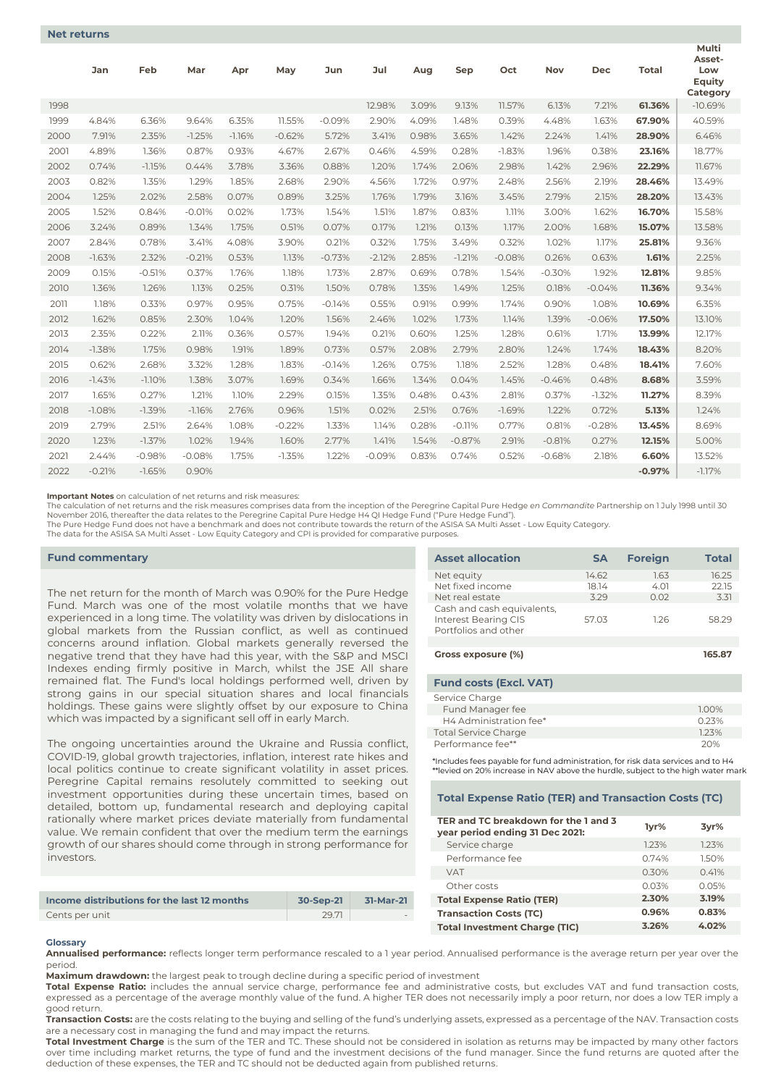|      | Jan      | Feb      | Mar      | Apr      | May      | Jun      | Jul      | Aug   | Sep      | Oct      | Nov      | Dec      | <b>Total</b> | Multi<br>Asset-<br>Low<br>Equity<br>Category |
|------|----------|----------|----------|----------|----------|----------|----------|-------|----------|----------|----------|----------|--------------|----------------------------------------------|
| 1998 |          |          |          |          |          |          | 12.98%   | 3.09% | 9.13%    | 11.57%   | 6.13%    | 7.21%    | 61.36%       | $-10.69%$                                    |
| 1999 | 4.84%    | 6.36%    | 9.64%    | 6.35%    | 11.55%   | $-0.09%$ | 2.90%    | 4.09% | 1.48%    | 0.39%    | 4.48%    | 1.63%    | 67.90%       | 40.59%                                       |
| 2000 | 7.91%    | 2.35%    | $-1.25%$ | $-1.16%$ | $-0.62%$ | 5.72%    | 3.41%    | 0.98% | 3.65%    | 1.42%    | 2.24%    | 1.41%    | 28.90%       | 6.46%                                        |
| 2001 | 4.89%    | 1.36%    | 0.87%    | 0.93%    | 4.67%    | 2.67%    | 0.46%    | 4.59% | 0.28%    | $-1.83%$ | 1.96%    | 0.38%    | 23.16%       | 18.77%                                       |
| 2002 | 0.74%    | $-1.15%$ | 0.44%    | 3.78%    | 3.36%    | 0.88%    | 1.20%    | 1.74% | 2.06%    | 2.98%    | 1.42%    | 2.96%    | 22.29%       | 11.67%                                       |
| 2003 | 0.82%    | 1.35%    | 1.29%    | 1.85%    | 2.68%    | 2.90%    | 4.56%    | 1.72% | 0.97%    | 2.48%    | 2.56%    | 2.19%    | 28.46%       | 13.49%                                       |
| 2004 | 1.25%    | 2.02%    | 2.58%    | 0.07%    | 0.89%    | 3.25%    | 1.76%    | 1.79% | 3.16%    | 3.45%    | 2.79%    | 2.15%    | 28.20%       | 13.43%                                       |
| 2005 | 1.52%    | 0.84%    | $-0.01%$ | 0.02%    | 1.73%    | 1.54%    | 1.51%    | 1.87% | 0.83%    | 1.11%    | 3.00%    | 1.62%    | 16.70%       | 15.58%                                       |
| 2006 | 3.24%    | 0.89%    | 1.34%    | 1.75%    | 0.51%    | 0.07%    | 0.17%    | 1.21% | 0.13%    | 1.17%    | 2.00%    | 1.68%    | 15.07%       | 13.58%                                       |
| 2007 | 2.84%    | 0.78%    | 3.41%    | 4.08%    | 3.90%    | 0.21%    | 0.32%    | 1.75% | 3.49%    | 0.32%    | 1.02%    | 1.17%    | 25.81%       | 9.36%                                        |
| 2008 | $-1.63%$ | 2.32%    | $-0.21%$ | 0.53%    | 1.13%    | $-0.73%$ | $-2.12%$ | 2.85% | $-1.21%$ | $-0.08%$ | 0.26%    | 0.63%    | 1.61%        | 2.25%                                        |
| 2009 | 0.15%    | $-0.51%$ | 0.37%    | 1.76%    | 1.18%    | 1.73%    | 2.87%    | 0.69% | 0.78%    | 1.54%    | $-0.30%$ | 1.92%    | 12.81%       | 9.85%                                        |
| 2010 | 1.36%    | 1.26%    | 1.13%    | 0.25%    | 0.31%    | 1.50%    | 0.78%    | 1.35% | 1.49%    | 1.25%    | 0.18%    | $-0.04%$ | 11.36%       | 9.34%                                        |
| 2011 | 1.18%    | 0.33%    | 0.97%    | 0.95%    | 0.75%    | $-0.14%$ | 0.55%    | 0.91% | 0.99%    | 1.74%    | 0.90%    | 1.08%    | 10.69%       | 6.35%                                        |
| 2012 | 1.62%    | 0.85%    | 2.30%    | 1.04%    | 1.20%    | 1.56%    | 2.46%    | 1.02% | 1.73%    | 1.14%    | 1.39%    | $-0.06%$ | 17.50%       | 13.10%                                       |
| 2013 | 2.35%    | 0.22%    | 2.11%    | 0.36%    | 0.57%    | 1.94%    | 0.21%    | 0.60% | 1.25%    | 1.28%    | 0.61%    | 1.71%    | 13.99%       | 12.17%                                       |
| 2014 | $-1.38%$ | 1.75%    | 0.98%    | 1.91%    | 1.89%    | 0.73%    | 0.57%    | 2.08% | 2.79%    | 2.80%    | 1.24%    | 1.74%    | 18.43%       | 8.20%                                        |
| 2015 | 0.62%    | 2.68%    | 3.32%    | 1.28%    | 1.83%    | $-0.14%$ | 1.26%    | 0.75% | 1.18%    | 2.52%    | 1.28%    | 0.48%    | 18.41%       | 7.60%                                        |
| 2016 | $-1.43%$ | $-1.10%$ | 1.38%    | 3.07%    | 1.69%    | 0.34%    | 1.66%    | 1.34% | 0.04%    | 1.45%    | $-0.46%$ | 0.48%    | 8.68%        | 3.59%                                        |
| 2017 | 1.65%    | 0.27%    | 1.21%    | 1.10%    | 2.29%    | 0.15%    | 1.35%    | 0.48% | 0.43%    | 2.81%    | 0.37%    | $-1.32%$ | 11.27%       | 8.39%                                        |
| 2018 | $-1.08%$ | $-1.39%$ | $-1.16%$ | 2.76%    | 0.96%    | 1.51%    | 0.02%    | 2.51% | 0.76%    | $-1.69%$ | 1.22%    | 0.72%    | 5.13%        | 1.24%                                        |
| 2019 | 2.79%    | 2.51%    | 2.64%    | 1.08%    | $-0.22%$ | 1.33%    | 1.14%    | 0.28% | $-0.11%$ | 0.77%    | 0.81%    | $-0.28%$ | 13.45%       | 8.69%                                        |
| 2020 | 1.23%    | $-1.37%$ | 1.02%    | 1.94%    | 1.60%    | 2.77%    | 1.41%    | 1.54% | $-0.87%$ | 2.91%    | $-0.81%$ | 0.27%    | 12.15%       | 5.00%                                        |
| 2021 | 2.44%    | $-0.98%$ | $-0.08%$ | 1.75%    | $-1.35%$ | 1.22%    | $-0.09%$ | 0.83% | 0.74%    | 0.52%    | $-0.68%$ | 2.18%    | 6.60%        | 13.52%                                       |
| 2022 | $-0.21%$ | $-1.65%$ | 0.90%    |          |          |          |          |       |          |          |          |          | $-0.97%$     | $-1.17%$                                     |
|      |          |          |          |          |          |          |          |       |          |          |          |          |              |                                              |

**Important Notes** on calculation of net returns and risk measures:

The calculation of net returns and the risk measures comprises data from the inception of the Peregrine Capital Pure Hedge *en Commandite* Partnership on 1 July 1998 until 30 November 2016, thereafter the data relates to the Peregrine Capital Pure Hedge H4 QI Hedge Fund ("Pure Hedge Fund").<br>The Pure Hedge Fund does not have a benchmark and does not contribute towards the return of the ASISA SA

The data for the ASISA SA Multi Asset - Low Equity Category and CPI is provided for comparative purposes.

### **Fund commentary**

The net return for the month of March was 0.90% for the Pure Hedge Fund. March was one of the most volatile months that we have experienced in a long time. The volatility was driven by dislocations in global markets from the Russian conflict, as well as continued concerns around inflation. Global markets generally reversed the negative trend that they have had this year, with the S&P and MSCI Indexes ending firmly positive in March, whilst the JSE All share remained flat. The Fund's local holdings performed well, driven by strong gains in our special situation shares and local financials holdings. These gains were slightly offset by our exposure to China which was impacted by a significant sell off in early March.

The ongoing uncertainties around the Ukraine and Russia conflict, COVID-19, global growth trajectories, inflation, interest rate hikes and local politics continue to create significant volatility in asset prices. Peregrine Capital remains resolutely committed to seeking out investment opportunities during these uncertain times, based on detailed, bottom up, fundamental research and deploying capital rationally where market prices deviate materially from fundamental value. We remain confident that over the medium term the earnings growth of our shares should come through in strong performance for investors.

| Income distributions for the last 12 months | 30-Sep-21 | 31-Mar-21 | <b>Total E</b> |
|---------------------------------------------|-----------|-----------|----------------|
| Cents per unit                              | 29.71     | a v       | Transa         |

| <b>Asset allocation</b>                                                                                        | <b>SA</b> | <b>Foreign</b> | <b>Total</b> |
|----------------------------------------------------------------------------------------------------------------|-----------|----------------|--------------|
| Net equity                                                                                                     | 14.62     | 1.63           | 16.25        |
| Net fixed income                                                                                               | 18.14     | 4.01           | 22.15        |
| Net real estate                                                                                                | 3.29      | 0.02           | 3.31         |
| Cash and cash equivalents,<br>Interest Bearing CIS<br>Portfolios and other                                     | 57.03     | 1.26           | 58.29        |
|                                                                                                                |           |                |              |
| Gross exposure (%)                                                                                             |           |                | 165.87       |
| <b>Fund costs (Excl. VAT)</b>                                                                                  |           |                |              |
| Service Charge                                                                                                 |           |                |              |
| Fund Manager fee                                                                                               |           |                | 1.00%        |
| H4 Administration fee*                                                                                         |           |                | 0.23%        |
| <b>Total Service Charge</b>                                                                                    |           |                | 1.23%        |
| Performance fee**<br>$^*$ Includes fees navable for fund administration, for risk data services and to H4 $\,$ |           |                | 20%          |

\*Includes fees payable for fund administration, for risk data services and to H4 \*\*levied on 20% increase in NAV above the hurdle, subject to the high water mark

### **Total Expense Ratio (TER) and Transaction Costs (TC)**

| TER and TC breakdown for the 1 and 3<br>year period ending 31 Dec 2021: | 1yr%  | 3yr%  |
|-------------------------------------------------------------------------|-------|-------|
| Service charge                                                          | 1.23% | 1.23% |
| Performance fee                                                         | 0.74% | 1.50% |
| <b>VAT</b>                                                              | 0.30% | 0.41% |
| Other costs                                                             | 0.03% | 0.05% |
| <b>Total Expense Ratio (TER)</b>                                        | 2.30% | 3.19% |
| <b>Transaction Costs (TC)</b>                                           | 0.96% | 0.83% |
| <b>Total Investment Charge (TIC)</b>                                    | 3.26% | 4.02% |

#### **Glossary**

**Annualised performance:** reflects longer term performance rescaled to a 1 year period. Annualised performance is the average return per year over the period.

**Maximum drawdown:** the largest peak to trough decline during a specific period of investment

**Total Expense Ratio:** includes the annual service charge, performance fee and administrative costs, but excludes VAT and fund transaction costs, expressed as a percentage of the average monthly value of the fund. A higher TER does not necessarily imply a poor return, nor does a low TER imply a good return.

**Transaction Costs:** are the costs relating to the buying and selling of the fund's underlying assets, expressed as a percentage of the NAV. Transaction costs are a necessary cost in managing the fund and may impact the returns.

**Total Investment Charge** is the sum of the TER and TC. These should not be considered in isolation as returns may be impacted by many other factors over time including market returns, the type of fund and the investment decisions of the fund manager. Since the fund returns are quoted after the deduction of these expenses, the TER and TC should not be deducted again from published returns.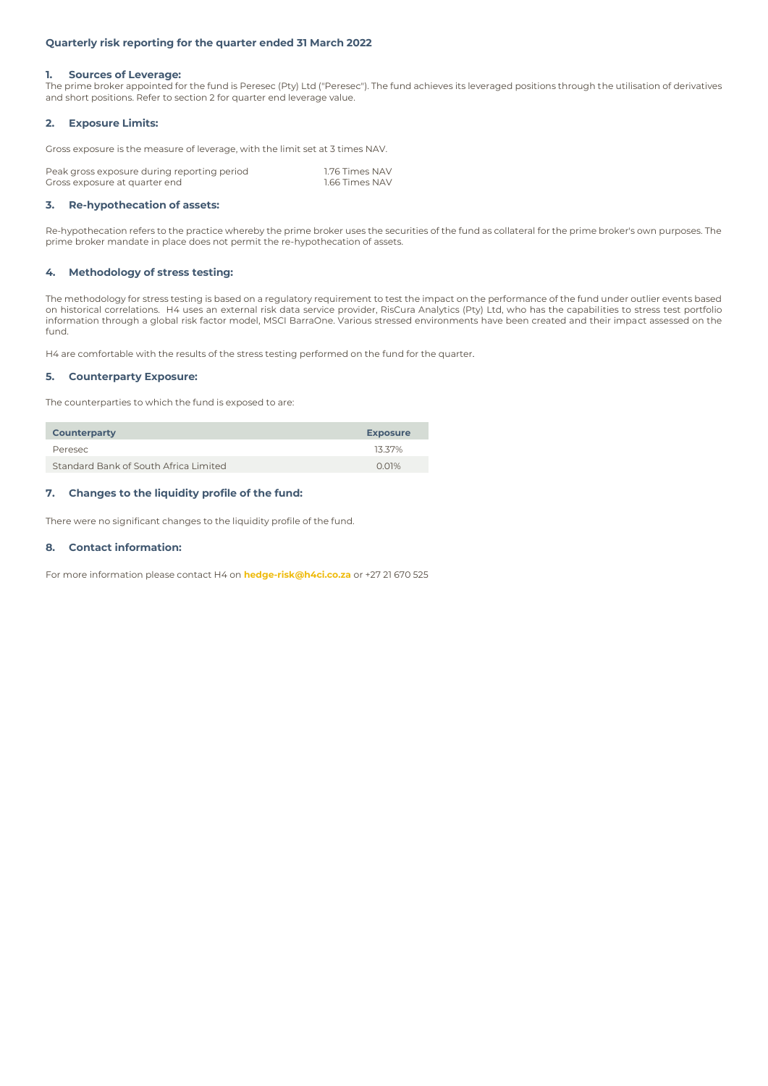# **Quarterly risk reporting for the quarter ended 31 March 2022**

### **1. Sources of Leverage:**

The prime broker appointed for the fund is Peresec (Pty) Ltd ("Peresec"). The fund achieves its leveraged positions through the utilisation of derivatives and short positions. Refer to section 2 for quarter end leverage value.

# **2. Exposure Limits:**

Gross exposure is the measure of leverage, with the limit set at 3 times NAV.

| Peak gross exposure during reporting period | 1.76 Times NAV |
|---------------------------------------------|----------------|
| Gross exposure at quarter end               | 1.66 Times NAV |

### **3. Re-hypothecation of assets:**

Re-hypothecation refers to the practice whereby the prime broker uses the securities of the fund as collateral for the prime broker's own purposes. The prime broker mandate in place does not permit the re-hypothecation of assets.

# **4. Methodology of stress testing:**

The methodology for stress testing is based on a regulatory requirement to test the impact on the performance of the fund under outlier events based on historical correlations. H4 uses an external risk data service provider, RisCura Analytics (Pty) Ltd, who has the capabilities to stress test portfolio information through a global risk factor model, MSCI BarraOne. Various stressed environments have been created and their impact assessed on the fund.

H4 are comfortable with the results of the stress testing performed on the fund for the quarter.

# **5. Counterparty Exposure:**

The counterparties to which the fund is exposed to are:

| <b>Counterparty</b>                   | <b>Exposure</b> |
|---------------------------------------|-----------------|
| Peresec                               | 13.37%          |
| Standard Bank of South Africa Limited | $0.01\%$        |

# **7. Changes to the liquidity profile of the fund:**

There were no significant changes to the liquidity profile of the fund.

# **8. Contact information:**

For more information please contact H4 on **hedge-risk@h4ci.co.za** or +27 21 670 525